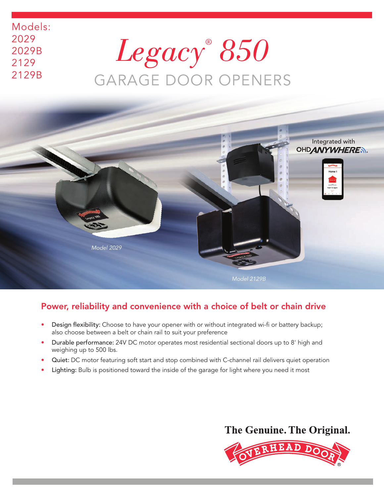# *Legacy® 850*  GARAGE DOOR OPENERS

Models:

2029

2029B 2129

2129B



## Power, reliability and convenience with a choice of belt or chain drive

- Design flexibility: Choose to have your opener with or without integrated wi-fi or battery backup; also choose between a belt or chain rail to suit your preference
- Durable performance: 24V DC motor operates most residential sectional doors up to 8' high and weighing up to 500 lbs.
- Quiet: DC motor featuring soft start and stop combined with C-channel rail delivers quiet operation
- Lighting: Bulb is positioned toward the inside of the garage for light where you need it most

## The Genuine. The Original.

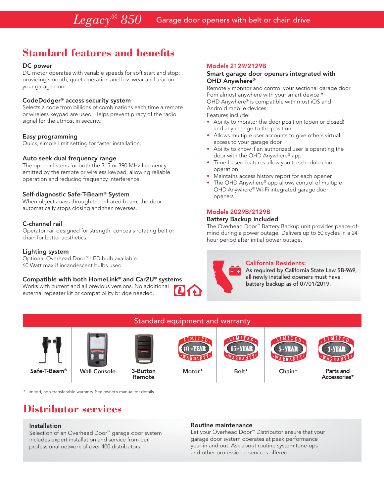## **Standard features and benefits**

#### DC power

DC motor operates with variable speeds for soft start and stop; providing smooth, quiet operation and less wear and tear on your garage door.

#### CodeDodger® access security system

Selects a code from billions of combinations each time a remote or wireless keypad are used. Helps prevent piracy of the radio signal for the utmost in security.

#### Easy programming

Quick, simple limit setting for faster installation.

#### Auto seek dual frequency range

The opener listens for both the 315 or 390 MHz frequency emitted by the remote or wireless keypad, allowing reliable operation and reducing frequency interference.

#### Self-diagnostic Safe-T-Beam® System

When objects pass through the infrared beam, the door automatically stops closing and then reverses.

#### C-channel rail

Operator rail designed for strength; conceals rotating belt or chain for better aesthetics.

#### Lighting system

Optional Overhead Door™ LED bulb available. 60 Watt max if incandescent bulbs used.

#### Compatible with both HomeLink® and Car2U® systems

Works with current and all previous versions. No additional external repeater kit or compatibility bridge needed.

#### Models 2129/2129B

#### Smart garage door openers integrated with OHD Anywhere®

Remotely monitor and control your sectional garage door from almost anywhere with your smart device.\* OHD Anywhere® is compatible with most iOS and Android mobile devices. Features include:

• Ability to monitor the door position (open or closed) and any change to the position

- Allows multiple user accounts to give others virtual access to your garage door
- Ability to know if an authorized user is operating the door with the OHD Anywhere® app
- Time-based features allow you to schedule door operation
- Maintains access history report for each opener
- The OHD Anywhere® app allows control of multiple OHD Anywhere® Wi-Fi integrated garage door openers

#### Models 2029B/2129B

#### Battery Backup included

The Overhead Door™ Battery Backup unit provides peace-ofmind during a power outage. Delivers up to 50 cycles in a 24 hour period after initial power outage.



#### California Residents:

As required by California State Law SB-969, all newly installed openers must have battery backup as of 07/01/2019.



\* Limited, non-transferable warranty. See owner's manual for details.

## **Distributor services**

#### Installation

Selection of an Overhead Door™ garage door system includes expert installation and service from our professional network of over 400 distributors.

Routine maintenance Let your Overhead Door™ Distributor ensure that your

garage door system operates at peak performance year-in and out. Ask about routine system tune-ups and other professional services offered.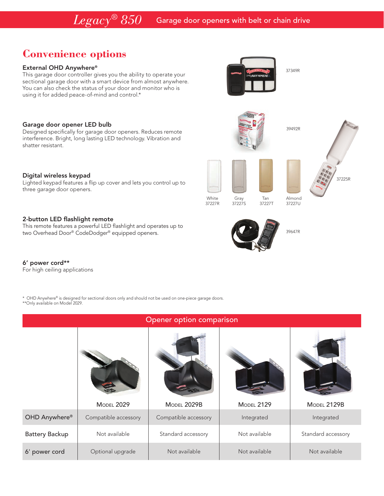## **Convenience options**

#### External OHD Anywhere®

This garage door controller gives you the ability to operate your sectional garage door with a smart device from almost anywhere. You can also check the status of your door and monitor who is using it for added peace-of-mind and control.\*

37349R

39492R



White Gray Tan Almond<br>37227R 37227S 37227T 37227U 37227S

39647R



Designed specifically for garage door openers. Reduces remote interference. Bright, long lasting LED technology. Vibration and shatter resistant.

#### Digital wireless keypad

Lighted keypad features a flip up cover and lets you control up to three garage door openers.

#### 2-button LED flashlight remote

This remote features a powerful LED flashlight and operates up to two Overhead Door® CodeDodger® equipped openers.

### 6' power cord\*\*

For high ceiling applications

\* OHD Anywhere® is designed for sectional doors only and should not be used on one-piece garage doors. \*\*Only available on Model 2029.

| Opener option comparison |                      |                      |                   |                    |
|--------------------------|----------------------|----------------------|-------------------|--------------------|
|                          |                      |                      |                   |                    |
|                          | <b>MODEL 2029</b>    | <b>MODEL 2029B</b>   | <b>MODEL 2129</b> | MODEL 2129B        |
| OHD Anywhere®            | Compatible accessory | Compatible accessory | Integrated        | Integrated         |
| <b>Battery Backup</b>    | Not available        | Standard accessory   | Not available     | Standard accessory |
| 6' power cord            | Optional upgrade     | Not available        | Not available     | Not available      |